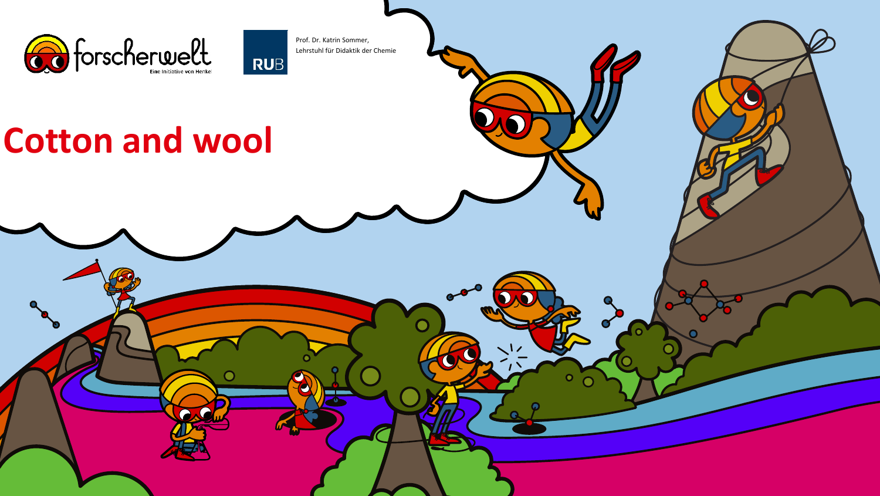

Prof. Dr. Katrin Sommer, Lehrstuhl für Didaktik der Chemie

**RUB** 

# **Cotton and wool**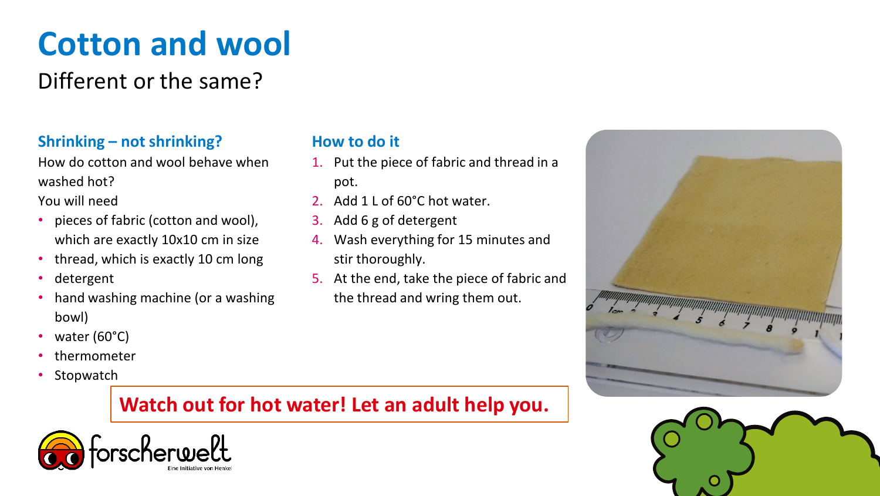# **Cotton and wool**

## Different or the same?

### **Shrinking – not shrinking?**

How do cotton and wool behave when washed hot?

You will need

- pieces of fabric (cotton and wool), which are exactly 10x10 cm in size
- thread, which is exactly 10 cm long
- detergent
- hand washing machine (or a washing bowl)
- water (60°C)
- thermometer
- Stopwatch

#### **How to do it**

- 1. Put the piece of fabric and thread in a pot.
- 2. Add 1 L of 60°C hot water.
- 3. Add 6 g of detergent
- 4. Wash everything for 15 minutes and stir thoroughly.
- 5. At the end, take the piece of fabric and the thread and wring them out.

### **Watch out for hot water! Let an adult help you.**



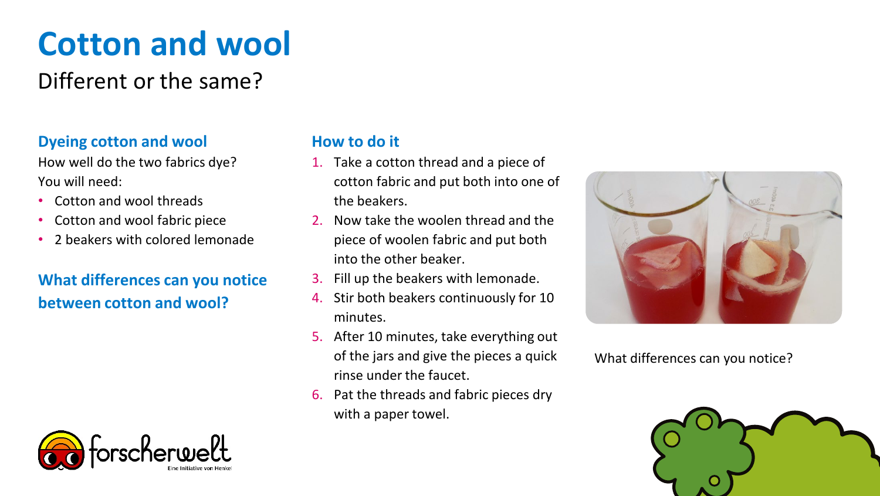# **Cotton and wool**

## Different or the same?

### **Dyeing cotton and wool**

How well do the two fabrics dye? You will need:

- Cotton and wool threads
- Cotton and wool fabric piece
- 2 beakers with colored lemonade

### **What differences can you notice between cotton and wool?**



#### **How to do it**

- 1. Take a cotton thread and a piece of cotton fabric and put both into one of the beakers.
- 2. Now take the woolen thread and the piece of woolen fabric and put both into the other beaker.
- 3. Fill up the beakers with lemonade.
- 4. Stir both beakers continuously for 10 minutes.
- 5. After 10 minutes, take everything out of the jars and give the pieces a quick rinse under the faucet.
- 6. Pat the threads and fabric pieces dry with a paper towel.



What differences can you notice?